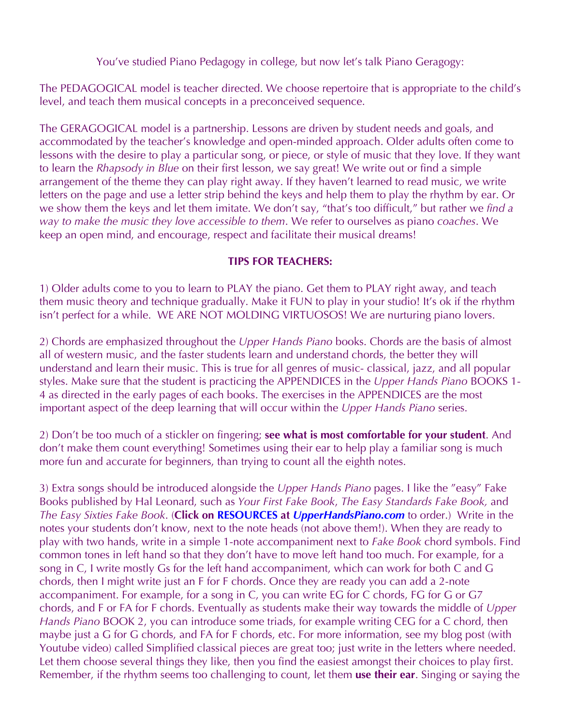You've studied Piano Pedagogy in college, but now let's talk Piano Geragogy:

The PEDAGOGICAL model is teacher directed. We choose repertoire that is appropriate to the child's level, and teach them musical concepts in a preconceived sequence.

The GERAGOGICAL model is a partnership. Lessons are driven by student needs and goals, and accommodated by the teacher's knowledge and open-minded approach. Older adults often come to lessons with the desire to play a particular song, or piece, or style of music that they love. If they want to learn the *Rhapsody in Blue* on their first lesson, we say great! We write out or find a simple arrangement of the theme they can play right away. If they haven't learned to read music, we write letters on the page and use a letter strip behind the keys and help them to play the rhythm by ear. Or we show them the keys and let them imitate. We don't say, "that's too difficult," but rather we *find a way to make the music they love accessible to them*. We refer to ourselves as piano *coaches*. We keep an open mind, and encourage, respect and facilitate their musical dreams!

## **TIPS FOR TEACHERS:**

1) Older adults come to you to learn to PLAY the piano. Get them to PLAY right away, and teach them music theory and technique gradually. Make it FUN to play in your studio! It's ok if the rhythm isn't perfect for a while. WE ARE NOT MOLDING VIRTUOSOS! We are nurturing piano lovers.

2) Chords are emphasized throughout the *Upper Hands Piano* books. Chords are the basis of almost all of western music, and the faster students learn and understand chords, the better they will understand and learn their music. This is true for all genres of music- classical, jazz, and all popular styles. Make sure that the student is practicing the APPENDICES in the *Upper Hands Piano* BOOKS 1- 4 as directed in the early pages of each books. The exercises in the APPENDICES are the most important aspect of the deep learning that will occur within the *Upper Hands Piano* series.

2) Don't be too much of a stickler on fingering; **see what is most comfortable for your student**. And don't make them count everything! Sometimes using their ear to help play a familiar song is much more fun and accurate for beginners, than trying to count all the eighth notes.

3) Extra songs should be introduced alongside the *Upper Hands Piano* pages. I like the "easy" Fake Books published by Hal Leonard, such as *Your First Fake Book*, *The Easy Standards Fake Book,* and *The Easy Sixties Fake Book*. (**Click on RESOURCES at** *UpperHandsPiano.com* to order.) Write in the notes your students don't know, next to the note heads (not above them!). When they are ready to play with two hands, write in a simple 1-note accompaniment next to *Fake Book* chord symbols. Find common tones in left hand so that they don't have to move left hand too much. For example, for a song in C, I write mostly Gs for the left hand accompaniment, which can work for both C and G chords, then I might write just an F for F chords. Once they are ready you can add a 2-note accompaniment. For example, for a song in C, you can write EG for C chords, FG for G or G7 chords, and F or FA for F chords. Eventually as students make their way towards the middle of *Upper Hands Piano* BOOK 2, you can introduce some triads, for example writing CEG for a C chord, then maybe just a G for G chords, and FA for F chords, etc. For more information, see my blog post (with Youtube video) called Simplified classical pieces are great too; just write in the letters where needed. Let them choose several things they like, then you find the easiest amongst their choices to play first. Remember, if the rhythm seems too challenging to count, let them **use their ear**. Singing or saying the